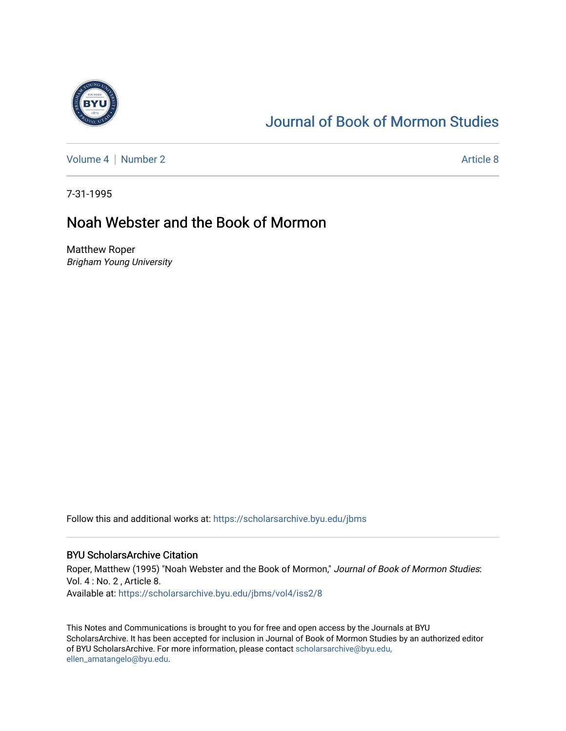

# [Journal of Book of Mormon Studies](https://scholarsarchive.byu.edu/jbms)

[Volume 4](https://scholarsarchive.byu.edu/jbms/vol4) | [Number 2](https://scholarsarchive.byu.edu/jbms/vol4/iss2) Article 8

7-31-1995

## Noah Webster and the Book of Mormon

Matthew Roper Brigham Young University

Follow this and additional works at: [https://scholarsarchive.byu.edu/jbms](https://scholarsarchive.byu.edu/jbms?utm_source=scholarsarchive.byu.edu%2Fjbms%2Fvol4%2Fiss2%2F8&utm_medium=PDF&utm_campaign=PDFCoverPages) 

### BYU ScholarsArchive Citation

Roper, Matthew (1995) "Noah Webster and the Book of Mormon," Journal of Book of Mormon Studies: Vol. 4 : No. 2 , Article 8. Available at: [https://scholarsarchive.byu.edu/jbms/vol4/iss2/8](https://scholarsarchive.byu.edu/jbms/vol4/iss2/8?utm_source=scholarsarchive.byu.edu%2Fjbms%2Fvol4%2Fiss2%2F8&utm_medium=PDF&utm_campaign=PDFCoverPages) 

This Notes and Communications is brought to you for free and open access by the Journals at BYU ScholarsArchive. It has been accepted for inclusion in Journal of Book of Mormon Studies by an authorized editor of BYU ScholarsArchive. For more information, please contact [scholarsarchive@byu.edu,](mailto:scholarsarchive@byu.edu,%20ellen_amatangelo@byu.edu) [ellen\\_amatangelo@byu.edu](mailto:scholarsarchive@byu.edu,%20ellen_amatangelo@byu.edu).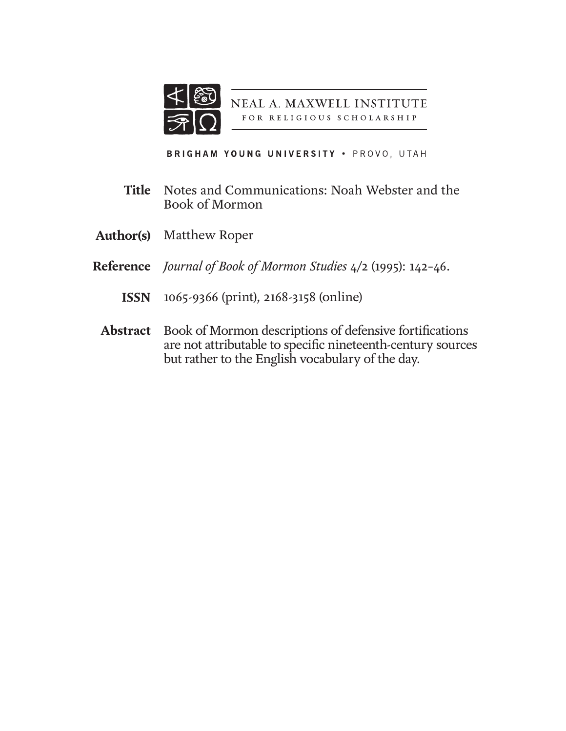

NEAL A. MAXWELL INSTITUTE FOR RELIGIOUS SCHOLARSHIP

BRIGHAM YOUNG UNIVERSITY . PROVO, UTAH

- Notes and Communications: Noah Webster and the Book of Mormon **Title**
- **Author(s)** Matthew Roper
- *Journal of Book of Mormon Studies* 4/2 (1995): 142–46. **Reference**
	- 1065-9366 (print), 2168-3158 (online) **ISSN**
	- Book of Mormon descriptions of defensive fortifications are not attributable to specific nineteenth-century sources but rather to the English vocabulary of the day. **Abstract**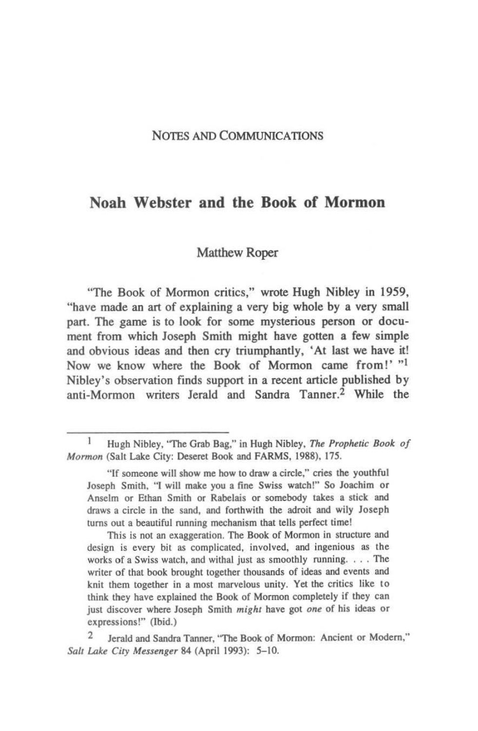#### NOTES AND COMMUNICATIONS

## Noah Webster and the Book of Mormon

#### Matthew Roper

"The Book of Mormon critics," wrote Hugh Nibley in 1959, "have made an art of explaining a very big whole by a very small part. The game is to look for some mysterious person or document from which Joseph Smith might have gotten a few simple and obvious ideas and then cry triumphantly. 'At last we have it! Now we know where the Book of Mormon came from!' "I Nibley's observation finds support in a recent article published by anti-Mormon writers Ierald and Sandra Tanner.2 While the

Hugh Nibley, "The Grab Bag," in Hugh Nibley, *The Prophetic Book of Mormon* (Salt Lake City: Deseret Book and FARMS, 1988), 175.

<sup>&</sup>quot;If someone will show me how to draw a circle," cries the youthful Joseph Smith, "I will make you a fine Swiss watch!" So Joachim or Anselm or Ethan Smith or Rabelais or somebody takes a stick and draws a circle in the sand, and forthwith the adroit and wily Joseph turns out a beautiful running mechanism that tells perfect time!

This is not an exaggeration. The Book of Mormon in structure and design is every bit as complicated, involved, and ingenious as the works of a Swiss watch, and withal just as smoothly running. . . . The writer of that book brought together thousands of ideas and events and knit them together in a most marvelous unity. Yet the critics like to think they have explained the Book of Mormon completely if they can just discover where Joseph Smith *might* have got one of his ideas or expressions!" (Jbid.)

Jerald and Sandra Tanner, "The Book of Mormon: Ancient or Modern," *Salt Lake City Messenger 84 (April 1993): 5-10.*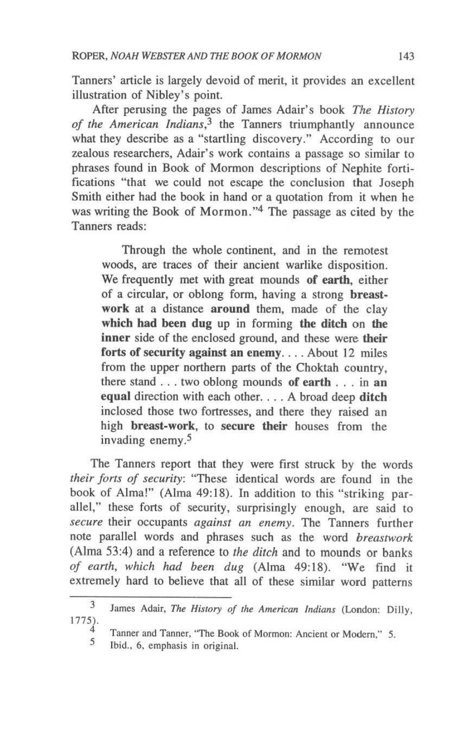Tanners' article is largely devoid of merit, it provides an excellent illustration of Nibley's point.

After perusing the pages of James Adair's book *The History of the American Indians,3* the Tanners triumphantly announce what they describe as a "startling discovery." According to our zealous researchers, Adair's work contains a passage so similar to phrases found in Book of Mormon descriptions of Nephite fortifications "that we could not escape the conclusion that Joseph Smith either had the book in hand or a quotation from it when he was writing the Book of Mormon."4 The passage as cited by the Tanners reads:

Through the whole continent, and in the remotest woods, are traces of their ancient warlike disposition. We frequently met with great mounds of earth, either of a circular, or oblong fonn, having a strong breastwork at a distance around them, made of the clay which had been dug up in forming the ditch on the inner side of the enclosed ground, and these were their forts of security against an enemy.... About 12 miles from the upper northern parts of the Choktah country, there stand ... two oblong mounds of earth ... in an equal direction with each other. . . . A broad deep ditch inclosed those two fortresses, and there they raised an high breast-work, to secure their houses from the invading enemy.5

The Tanners report that they were first struck by the words *their fons of security:* "These identical words are found in the book of Alma!" (Alma 49:18). In addition to this "striking parallel," these forts of security, surprisingly enough, are said to *secure* their occupants *against an enemy.* The Tanners further note parallel words and phrases such as the word *breastwork*  (Alma 53:4) and a reference to *the ditch* and to mounds or banks *of earth, which had been dug* (Alma 49:18). "We find it extremely hard to believe that all of these similar word patterns

<sup>3</sup>  1775). James Adair, *The History of the American Indians* (london: Dilly,

<sup>4</sup>  Tanner and Tanner, ''The Book of Mormon: Ancient or Modem," 5.

<sup>,</sup>  Ibid., 6. emphasis in Original.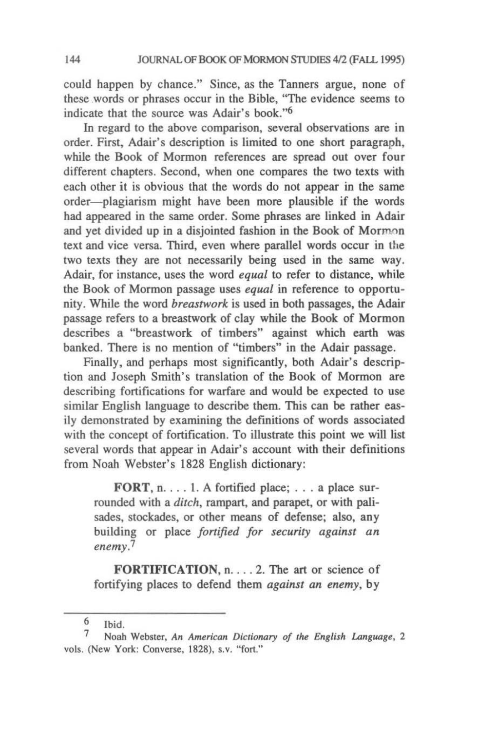could happen by chance." Since, as the Tanners argue, none of these words or phrases occur in the Bible. "The evidence seems to indicate that the source was Adair's book."<sup>6</sup>

In regard to the above comparison, several observations are in order. First, Adair's description is limited to one short paragraph, while the Book of Mormon references are spread out over four different chapters. Second, when one compares the two texts with each other it is obvious that the words do not appear in the same order-plagiarism might have been more plausible if the words had appeared in the same order. Some phrases are linked in Adair and yet divided up in a disjointed fashion in the Book of Mormon text and vice versa. Third, even where parallel words occur in the two texts they are not necessarily being used in the same way. Adair, for instance, uses the word *equal* to refer to distance, while the Book of Mormon passage uses *equal* in reference to opportunity. While the word *breastwork* is used in both passages, the Adair passage refers to a breastwork of clay while the Book of Mormon describes a "breastwork of timbers" against which earth was banked. There is no mention of "timbers" in the Adair passage.

Finally. and perhaps most significantly, both Adair's description and Joseph Smith's translation of the Book of Mormon are describing fortifications for warfare and would be expected to use similar English language to describe them. This can be rather easily demonstrated by examining the definitions of words associated with the concept of fortification. To illustrate this point we will list several words that appear in Adair's account with their definitions from Noah Webster's 1828 English dictionary:

FORT,  $n. \ldots 1$ . A fortified place; ... a place surrounded with a *ditch,* rampart, and parapet, or with palisades, stockades, or other means of defense; also, any building or place *fortified for security against an enemy.?* 

FORTIFICATION, n. . . . 2. The art or science of fortifying places to defend them *against an enemy,* by

Ibid. 6

<sup>7</sup> Noah Webster, *An American Dictionary 0/ the English Language,* 2 vols. (New York: Converse. 1828). s.v. "fort."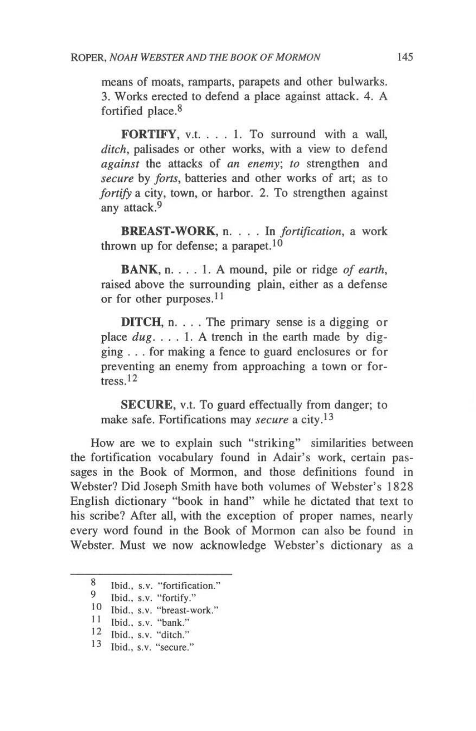means of moats, ramparts, parapets and other bulwarks. 3. Works erected to defend a place against attack. 4. A fortified place.<sup>8</sup>

FORTIFY, v.t. . . . 1. To surround with a wall, *ditch,* palisades or other works, with a view to defend *against* the attacks of *an enemy; to* strengthen and *secure* by *forts,* batteries and other works of art; as to *fortify* a city, town, or harbor. 2. To strengthen against any attack.9

BREAST-WORK, n. . . . In *fortification*, a work thrown up for defense; a parapet.<sup>10</sup>

BANK, n. . . . I. A mound, pile or ridge *of earth,*  raised above the surrounding plain, either as a defense or for other purposes.<sup>11</sup>

**DITCH**,  $n \dots$ . The primary sense is a digging or place *dug.* . . . 1. A trench in the earth made by digging ... for making a fence to guard enclosures or for preventing an enemy from approaching a town or fortress. 12

SECURE, v.t. To guard effectually from danger; to make safe. Fortifications may *secure* a city.13

How are we to explain such "striking" similarities between the fortification vocabulary found in Adair's work, certain passages in the Book of Mormon, and those definitions found in Webster? Did Joseph Smith have both volumes of Webster's 1828 English dictionary "book in hand" while he dictated that text to his scribe? After all, with the exception of proper names, nearly every word found in the Book of Mormon can also be found in Webster. Must we now acknowledge Webster's dictionary as a

<sup>8</sup>  Ibid., s.v. "fortification."

<sup>9</sup>  Ibid., s.v. "fortifY."

 $\frac{10}{11}$  Ibid., s.v. "breast-work."

Ibid., s.v. "bank."

<sup>12</sup> Ibid., s.v. "ditch."

<sup>13</sup> Ibid., s.v. "secure."